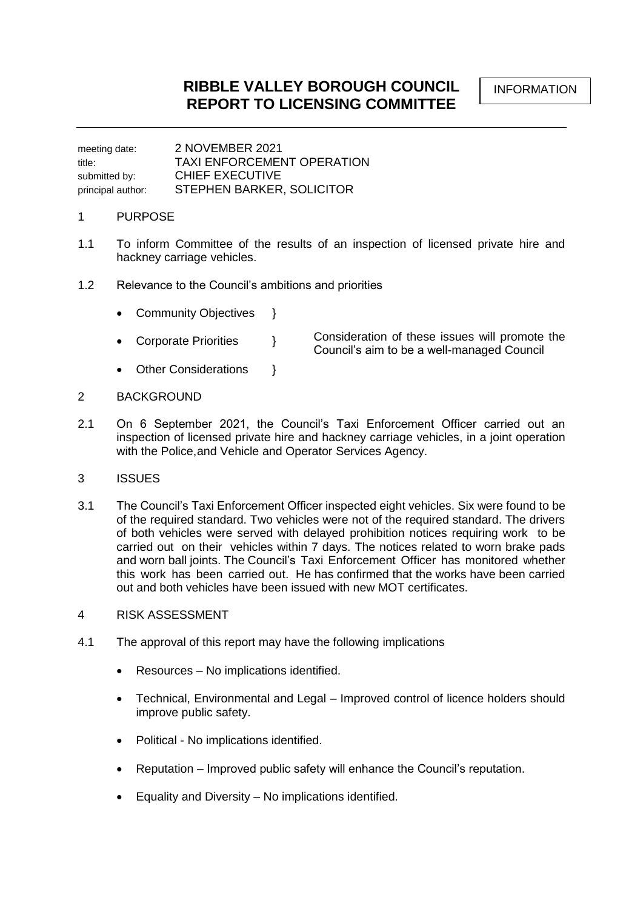meeting date: 2 NOVEMBER 2021 title: TAXI ENFORCEMENT OPERATION submitted by: CHIEF EXECUTIVE principal author: STEPHEN BARKER, SOLICITOR

## 1 PURPOSE

- 1.1 To inform Committee of the results of an inspection of licensed private hire and hackney carriage vehicles.
- 1.2 Relevance to the Council's ambitions and priorities
	- Community Objectives }
	- Corporate Priorities } Consideration of these issues will promote the Council's aim to be a well-managed Council
	- Other Considerations }
- 2 BACKGROUND
- 2.1 On 6 September 2021, the Council's Taxi Enforcement Officer carried out an inspection of licensed private hire and hackney carriage vehicles, in a joint operation with the Police,and Vehicle and Operator Services Agency.
- 3 ISSUES
- 3.1 The Council's Taxi Enforcement Officer inspected eight vehicles. Six were found to be of the required standard. Two vehicles were not of the required standard. The drivers of both vehicles were served with delayed prohibition notices requiring work to be carried out on their vehicles within 7 days. The notices related to worn brake pads and worn ball joints. The Council's Taxi Enforcement Officer has monitored whether this work has been carried out. He has confirmed that the works have been carried out and both vehicles have been issued with new MOT certificates.
- 4 RISK ASSESSMENT
- 4.1 The approval of this report may have the following implications
	- Resources No implications identified.
	- Technical, Environmental and Legal Improved control of licence holders should improve public safety.
	- Political No implications identified.
	- Reputation Improved public safety will enhance the Council's reputation.
	- Equality and Diversity No implications identified.